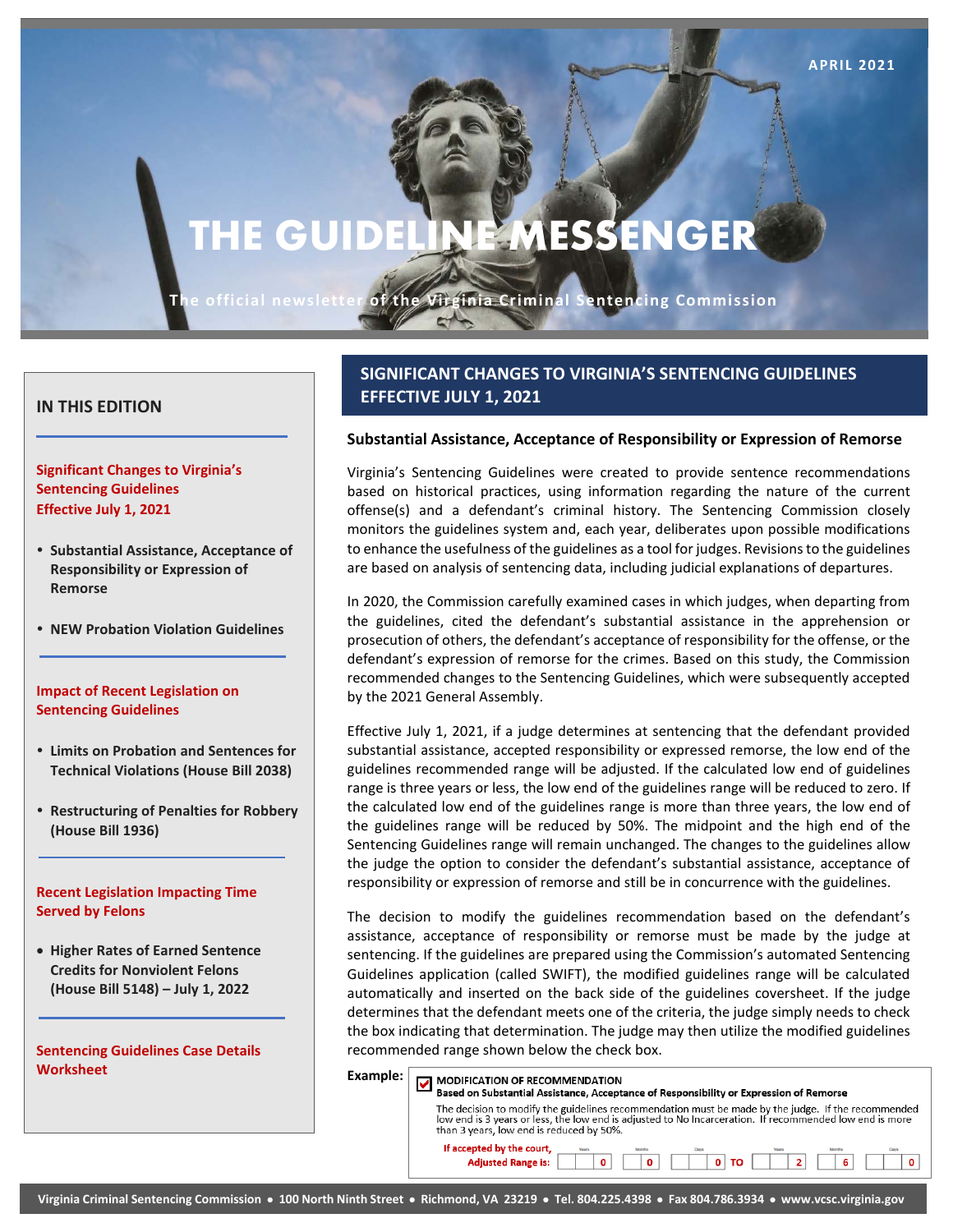# **THE GUIDELINE MESSENGER**

**APRIL 2021 Page 1**

**The official newsletter of the Virginia Criminal Sentencing Commission**

EY.

## **IN THIS EDITION**

**Significant Changes to Virginia's Sentencing Guidelines Effective July 1, 2021**

- **Substantial Assistance, Acceptance of Responsibility or Expression of Remorse**
- **NEW Probation Violation Guidelines**

#### **Impact of Recent Legislation on Sentencing Guidelines**

- **Limits on Probation and Sentences for Technical Violations (House Bill 2038)**
- **Restructuring of Penalties for Robbery (House Bill 1936)**

#### **Recent Legislation Impacting Time Served by Felons**

• **Higher Rates of Earned Sentence Credits for Nonviolent Felons (House Bill 5148) – July 1, 2022**

**Sentencing Guidelines Case Details Worksheet**

# **SIGNIFICANT CHANGES TO VIRGINIA'S SENTENCING GUIDELINES EFFECTIVE JULY 1, 2021**

#### **Substantial Assistance, Acceptance of Responsibility or Expression of Remorse**

Virginia's Sentencing Guidelines were created to provide sentence recommendations based on historical practices, using information regarding the nature of the current offense(s) and a defendant's criminal history. The Sentencing Commission closely monitors the guidelines system and, each year, deliberates upon possible modifications to enhance the usefulness of the guidelines as a tool for judges. Revisions to the guidelines are based on analysis of sentencing data, including judicial explanations of departures.

In 2020, the Commission carefully examined cases in which judges, when departing from the guidelines, cited the defendant's substantial assistance in the apprehension or prosecution of others, the defendant's acceptance of responsibility for the offense, or the defendant's expression of remorse for the crimes. Based on this study, the Commission recommended changes to the Sentencing Guidelines, which were subsequently accepted by the 2021 General Assembly.

Effective July 1, 2021, if a judge determines at sentencing that the defendant provided substantial assistance, accepted responsibility or expressed remorse, the low end of the guidelines recommended range will be adjusted. If the calculated low end of guidelines range is three years or less, the low end of the guidelines range will be reduced to zero. If the calculated low end of the guidelines range is more than three years, the low end of the guidelines range will be reduced by 50%. The midpoint and the high end of the Sentencing Guidelines range will remain unchanged. The changes to the guidelines allow the judge the option to consider the defendant's substantial assistance, acceptance of responsibility or expression of remorse and still be in concurrence with the guidelines.

The decision to modify the guidelines recommendation based on the defendant's assistance, acceptance of responsibility or remorse must be made by the judge at sentencing. If the guidelines are prepared using the Commission's automated Sentencing Guidelines application (called SWIFT), the modified guidelines range will be calculated automatically and inserted on the back side of the guidelines coversheet. If the judge determines that the defendant meets one of the criteria, the judge simply needs to check the box indicating that determination. The judge may then utilize the modified guidelines recommended range shown below the check box.

| Example: | <b>MODIFICATION OF RECOMMENDATION</b><br>Based on Substantial Assistance, Acceptance of Responsibility or Expression of Remorse                                                                                                                           |  |  |  |
|----------|-----------------------------------------------------------------------------------------------------------------------------------------------------------------------------------------------------------------------------------------------------------|--|--|--|
|          | The decision to modify the guidelines recommendation must be made by the judge. If the recommended<br>low end is 3 years or less, the low end is adjusted to No Incarceration. If recommended low end is more<br>than 3 years, low end is reduced by 50%. |  |  |  |
|          | If accepted by the court,<br><b>Adjusted Range is:</b><br>6<br>$\Omega$<br>TO<br>$\Omega$                                                                                                                                                                 |  |  |  |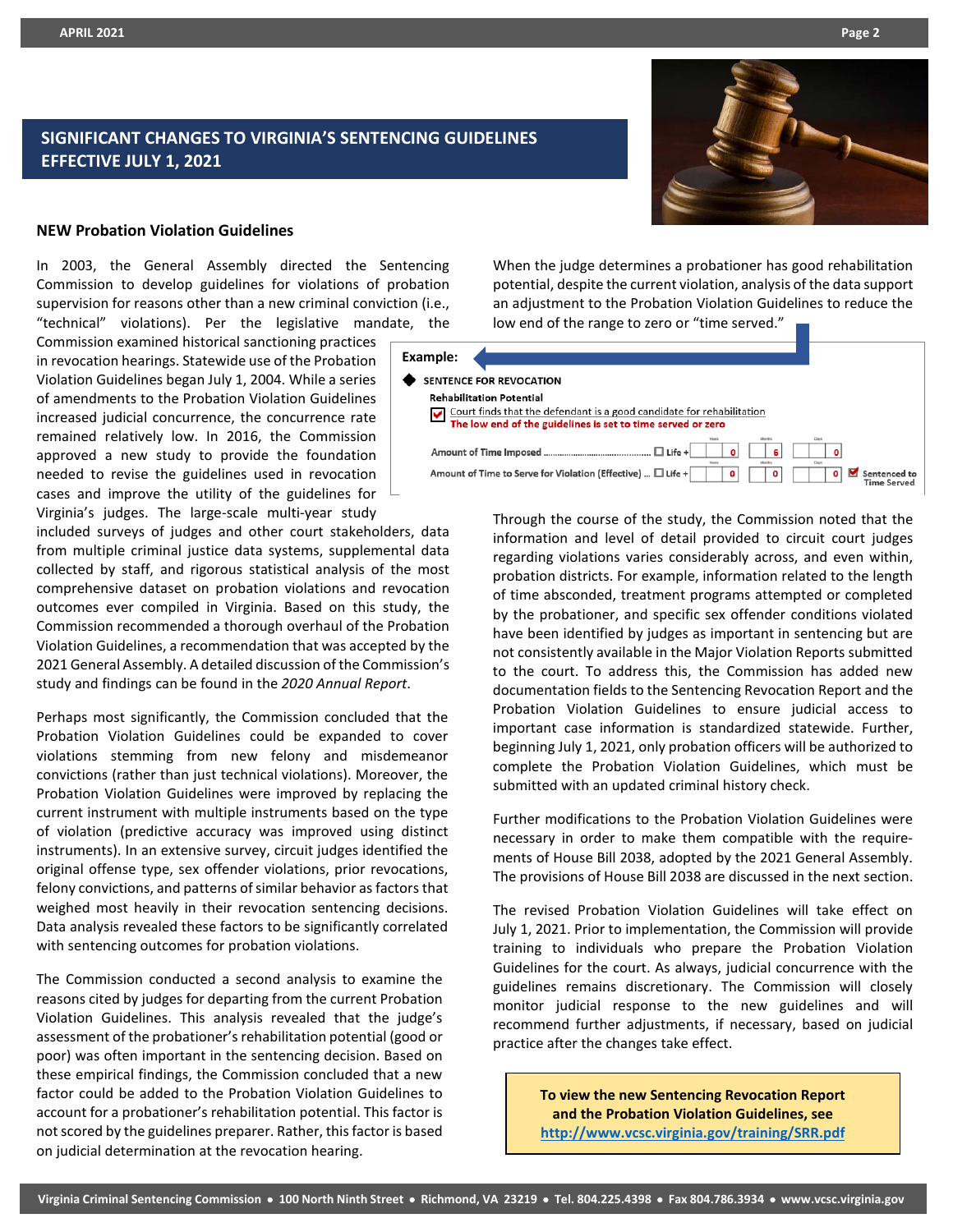# **SIGNIFICANT CHANGES TO VIRGINIA'S SENTENCING GUIDELINES EFFECTIVE JULY 1, 2021**



#### **NEW Probation Violation Guidelines**

In 2003, the General Assembly directed the Sentencing Commission to develop guidelines for violations of probation supervision for reasons other than a new criminal conviction (i.e., "technical" violations). Per the legislative mandate, the

Commission examined historical sanctioning practices in revocation hearings. Statewide use of the Probation Violation Guidelines began July 1, 2004. While a series of amendments to the Probation Violation Guidelines increased judicial concurrence, the concurrence rate remained relatively low. In 2016, the Commission approved a new study to provide the foundation needed to revise the guidelines used in revocation cases and improve the utility of the guidelines for Virginia's judges. The large-scale multi-year study

included surveys of judges and other court stakeholders, data from multiple criminal justice data systems, supplemental data collected by staff, and rigorous statistical analysis of the most comprehensive dataset on probation violations and revocation outcomes ever compiled in Virginia. Based on this study, the Commission recommended a thorough overhaul of the Probation Violation Guidelines, a recommendation that was accepted by the 2021 General Assembly. A detailed discussion of the Commission's study and findings can be found in the *2020 Annual Report*.

Perhaps most significantly, the Commission concluded that the Probation Violation Guidelines could be expanded to cover violations stemming from new felony and misdemeanor convictions (rather than just technical violations). Moreover, the Probation Violation Guidelines were improved by replacing the current instrument with multiple instruments based on the type of violation (predictive accuracy was improved using distinct instruments). In an extensive survey, circuit judges identified the original offense type, sex offender violations, prior revocations, felony convictions, and patterns of similar behavior as factors that weighed most heavily in their revocation sentencing decisions. Data analysis revealed these factors to be significantly correlated with sentencing outcomes for probation violations.

The Commission conducted a second analysis to examine the reasons cited by judges for departing from the current Probation Violation Guidelines. This analysis revealed that the judge's assessment of the probationer's rehabilitation potential (good or poor) was often important in the sentencing decision. Based on these empirical findings, the Commission concluded that a new factor could be added to the Probation Violation Guidelines to account for a probationer's rehabilitation potential. This factor is not scored by the guidelines preparer. Rather, this factor is based on judicial determination at the revocation hearing.

When the judge determines a probationer has good rehabilitation potential, despite the current violation, analysis of the data support an adjustment to the Probation Violation Guidelines to reduce the low end of the range to zero or "time served."

| Example:                                                                                                                             |                             |  |  |  |
|--------------------------------------------------------------------------------------------------------------------------------------|-----------------------------|--|--|--|
| SENTENCE FOR REVOCATION                                                                                                              |                             |  |  |  |
| <b>Rehabilitation Potential</b>                                                                                                      |                             |  |  |  |
|                                                                                                                                      |                             |  |  |  |
| Court finds that the defendant is a good candidate for rehabilitation<br>The low end of the guidelines is set to time served or zero |                             |  |  |  |
| <b>Months</b><br><b>Years</b><br>$\Box$ Life +<br>ĥ.<br>n<br>Months<br><b>Years</b>                                                  | Davis                       |  |  |  |
| Amount of Time to Serve for Violation (Effective)  □ Life +<br>٥<br>n                                                                | $\mathbf o$<br>Sentenced to |  |  |  |

Through the course of the study, the Commission noted that the information and level of detail provided to circuit court judges regarding violations varies considerably across, and even within, probation districts. For example, information related to the length of time absconded, treatment programs attempted or completed by the probationer, and specific sex offender conditions violated have been identified by judges as important in sentencing but are not consistently available in the Major Violation Reports submitted to the court. To address this, the Commission has added new documentation fields to the Sentencing Revocation Report and the Probation Violation Guidelines to ensure judicial access to important case information is standardized statewide. Further, beginning July 1, 2021, only probation officers will be authorized to complete the Probation Violation Guidelines, which must be submitted with an updated criminal history check.

Further modifications to the Probation Violation Guidelines were necessary in order to make them compatible with the requirements of House Bill 2038, adopted by the 2021 General Assembly. The provisions of House Bill 2038 are discussed in the next section.

The revised Probation Violation Guidelines will take effect on July 1, 2021. Prior to implementation, the Commission will provide training to individuals who prepare the Probation Violation Guidelines for the court. As always, judicial concurrence with the guidelines remains discretionary. The Commission will closely monitor judicial response to the new guidelines and will recommend further adjustments, if necessary, based on judicial practice after the changes take effect.

> **To view the new Sentencing Revocation Report and the Probation Violation Guidelines, see <http://www.vcsc.virginia.gov/training/SRR.pdf>**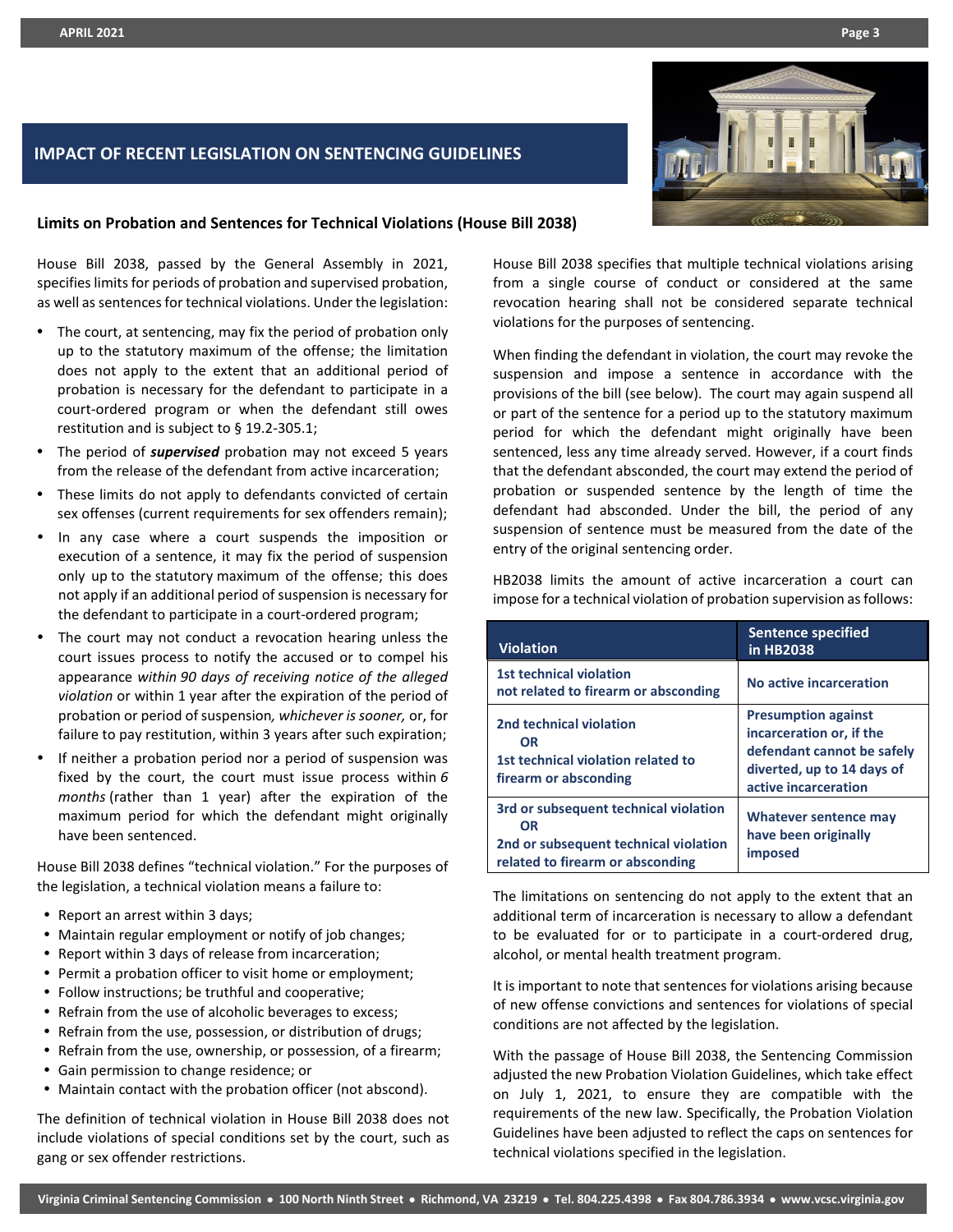# **IMPACT OF RECENT LEGISLATION ON SENTENCING GUIDELINES**



#### **Limits on Probation and Sentences for Technical Violations (House Bill 2038)**

House Bill 2038, passed by the General Assembly in 2021, specifies limits for periods of probation and supervised probation, as well as sentences for technical violations. Under the legislation:

- The court, at sentencing, may fix the period of probation only up to the statutory maximum of the offense; the limitation does not apply to the extent that an additional period of probation is necessary for the defendant to participate in a court-ordered program or when the defendant still owes restitution and is subject to § 19.2-305.1;
- The period of *supervised* probation may not exceed 5 years from the release of the defendant from active incarceration;
- These limits do not apply to defendants convicted of certain sex offenses (current requirements for sex offenders remain);
- In any case where a court suspends the imposition or execution of a sentence, it may fix the period of suspension only up to the statutory maximum of the offense; this does not apply if an additional period of suspension is necessary for the defendant to participate in a court-ordered program;
- The court may not conduct a revocation hearing unless the court issues process to notify the accused or to compel his appearance *within 90 days of receiving notice of the alleged violation* or within 1 year after the expiration of the period of probation or period of suspension*, whichever is sooner,* or, for failure to pay restitution, within 3 years after such expiration;
- If neither a probation period nor a period of suspension was fixed by the court, the court must issue process within *6 months* (rather than 1 year) after the expiration of the maximum period for which the defendant might originally have been sentenced.

House Bill 2038 defines "technical violation." For the purposes of the legislation, a technical violation means a failure to:

- Report an arrest within 3 days;
- Maintain regular employment or notify of job changes;
- Report within 3 days of release from incarceration;
- Permit a probation officer to visit home or employment;
- Follow instructions; be truthful and cooperative;
- Refrain from the use of alcoholic beverages to excess;
- Refrain from the use, possession, or distribution of drugs;
- Refrain from the use, ownership, or possession, of a firearm;
- Gain permission to change residence; or
- Maintain contact with the probation officer (not abscond).

The definition of technical violation in House Bill 2038 does not include violations of special conditions set by the court, such as gang or sex offender restrictions.

House Bill 2038 specifies that multiple technical violations arising from a single course of conduct or considered at the same revocation hearing shall not be considered separate technical violations for the purposes of sentencing.

When finding the defendant in violation, the court may revoke the suspension and impose a sentence in accordance with the provisions of the bill (see below). The court may again suspend all or part of the sentence for a period up to the statutory maximum period for which the defendant might originally have been sentenced, less any time already served. However, if a court finds that the defendant absconded, the court may extend the period of probation or suspended sentence by the length of time the defendant had absconded. Under the bill, the period of any suspension of sentence must be measured from the date of the entry of the original sentencing order.

HB2038 limits the amount of active incarceration a court can impose for a technical violation of probation supervision as follows:

| <b>Violation</b>                                                                                                                | <b>Sentence specified</b><br>in HB2038                                                                                                     |
|---------------------------------------------------------------------------------------------------------------------------------|--------------------------------------------------------------------------------------------------------------------------------------------|
| <b>1st technical violation</b><br>not related to firearm or absconding                                                          | No active incarceration                                                                                                                    |
| 2nd technical violation<br><b>OR</b><br>1st technical violation related to<br>firearm or absconding                             | <b>Presumption against</b><br>incarceration or, if the<br>defendant cannot be safely<br>diverted, up to 14 days of<br>active incarceration |
| 3rd or subsequent technical violation<br><b>OR</b><br>2nd or subsequent technical violation<br>related to firearm or absconding | <b>Whatever sentence may</b><br>have been originally<br>imposed                                                                            |

The limitations on sentencing do not apply to the extent that an additional term of incarceration is necessary to allow a defendant to be evaluated for or to participate in a court-ordered drug, alcohol, or mental health treatment program.

It is important to note that sentences for violations arising because of new offense convictions and sentences for violations of special conditions are not affected by the legislation.

With the passage of House Bill 2038, the Sentencing Commission adjusted the new Probation Violation Guidelines, which take effect on July 1, 2021, to ensure they are compatible with the requirements of the new law. Specifically, the Probation Violation Guidelines have been adjusted to reflect the caps on sentences for technical violations specified in the legislation.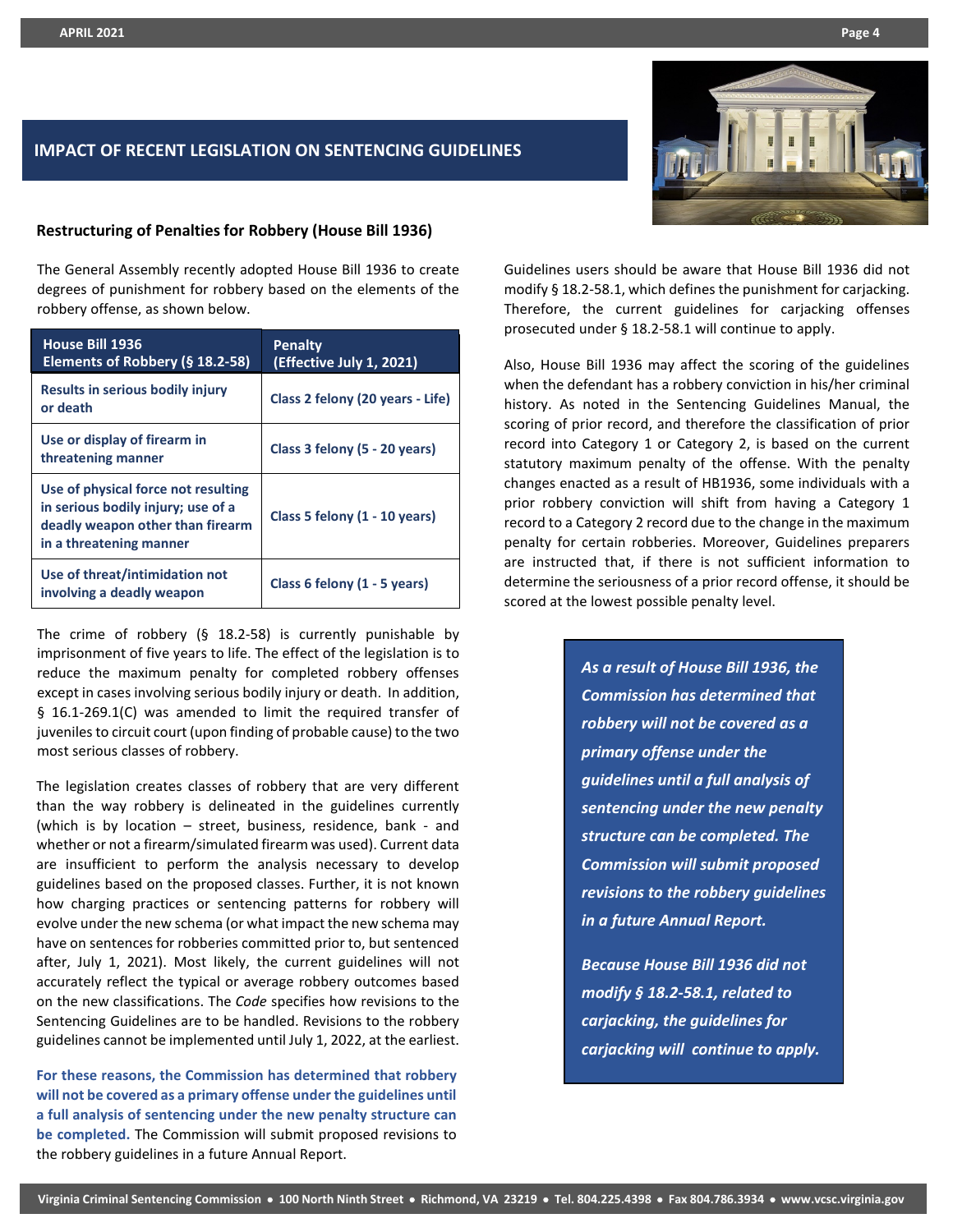# **IMPACT OF RECENT LEGISLATION ON SENTENCING GUIDELINES**

#### **Restructuring of Penalties for Robbery (House Bill 1936)**

The General Assembly recently adopted House Bill 1936 to create degrees of punishment for robbery based on the elements of the robbery offense, as shown below.

| House Bill 1936<br>Elements of Robbery (§ 18.2-58)                                                                                       | Penalty<br>(Effective July 1, 2021) |
|------------------------------------------------------------------------------------------------------------------------------------------|-------------------------------------|
| Results in serious bodily injury<br>or death                                                                                             | Class 2 felony (20 years - Life)    |
| Use or display of firearm in<br>threatening manner                                                                                       | Class 3 felony (5 - 20 years)       |
| Use of physical force not resulting<br>in serious bodily injury; use of a<br>deadly weapon other than firearm<br>in a threatening manner | Class 5 felony (1 - 10 years)       |
| Use of threat/intimidation not<br>involving a deadly weapon                                                                              | Class 6 felony (1 - 5 years)        |

The crime of robbery (§ 18.2-58) is currently punishable by imprisonment of five years to life. The effect of the legislation is to reduce the maximum penalty for completed robbery offenses except in cases involving serious bodily injury or death. In addition, § 16.1-269.1(C) was amended to limit the required transfer of juveniles to circuit court (upon finding of probable cause) to the two most serious classes of robbery.

The legislation creates classes of robbery that are very different than the way robbery is delineated in the guidelines currently (which is by location – street, business, residence, bank - and whether or not a firearm/simulated firearm was used). Current data are insufficient to perform the analysis necessary to develop guidelines based on the proposed classes. Further, it is not known how charging practices or sentencing patterns for robbery will evolve under the new schema (or what impact the new schema may have on sentences for robberies committed prior to, but sentenced after, July 1, 2021). Most likely, the current guidelines will not accurately reflect the typical or average robbery outcomes based on the new classifications. The *Code* specifies how revisions to the Sentencing Guidelines are to be handled. Revisions to the robbery guidelines cannot be implemented until July 1, 2022, at the earliest.

**For these reasons, the Commission has determined that robbery will not be covered as a primary offense under the guidelines until a full analysis of sentencing under the new penalty structure can be completed.** The Commission will submit proposed revisions to the robbery guidelines in a future Annual Report.



Guidelines users should be aware that House Bill 1936 did not modify § 18.2-58.1, which defines the punishment for carjacking. Therefore, the current guidelines for carjacking offenses prosecuted under § 18.2-58.1 will continue to apply.

Also, House Bill 1936 may affect the scoring of the guidelines when the defendant has a robbery conviction in his/her criminal history. As noted in the Sentencing Guidelines Manual, the scoring of prior record, and therefore the classification of prior record into Category 1 or Category 2, is based on the current statutory maximum penalty of the offense. With the penalty changes enacted as a result of HB1936, some individuals with a prior robbery conviction will shift from having a Category 1 record to a Category 2 record due to the change in the maximum penalty for certain robberies. Moreover, Guidelines preparers are instructed that, if there is not sufficient information to determine the seriousness of a prior record offense, it should be scored at the lowest possible penalty level.

> *As a result of House Bill 1936, the Commission has determined that robbery will not be covered as a primary offense under the guidelines until a full analysis of sentencing under the new penalty structure can be completed. The Commission will submit proposed revisions to the robbery guidelines in a future Annual Report.*

*Because House Bill 1936 did not modify § 18.2-58.1, related to carjacking, the guidelines for carjacking will continue to apply.*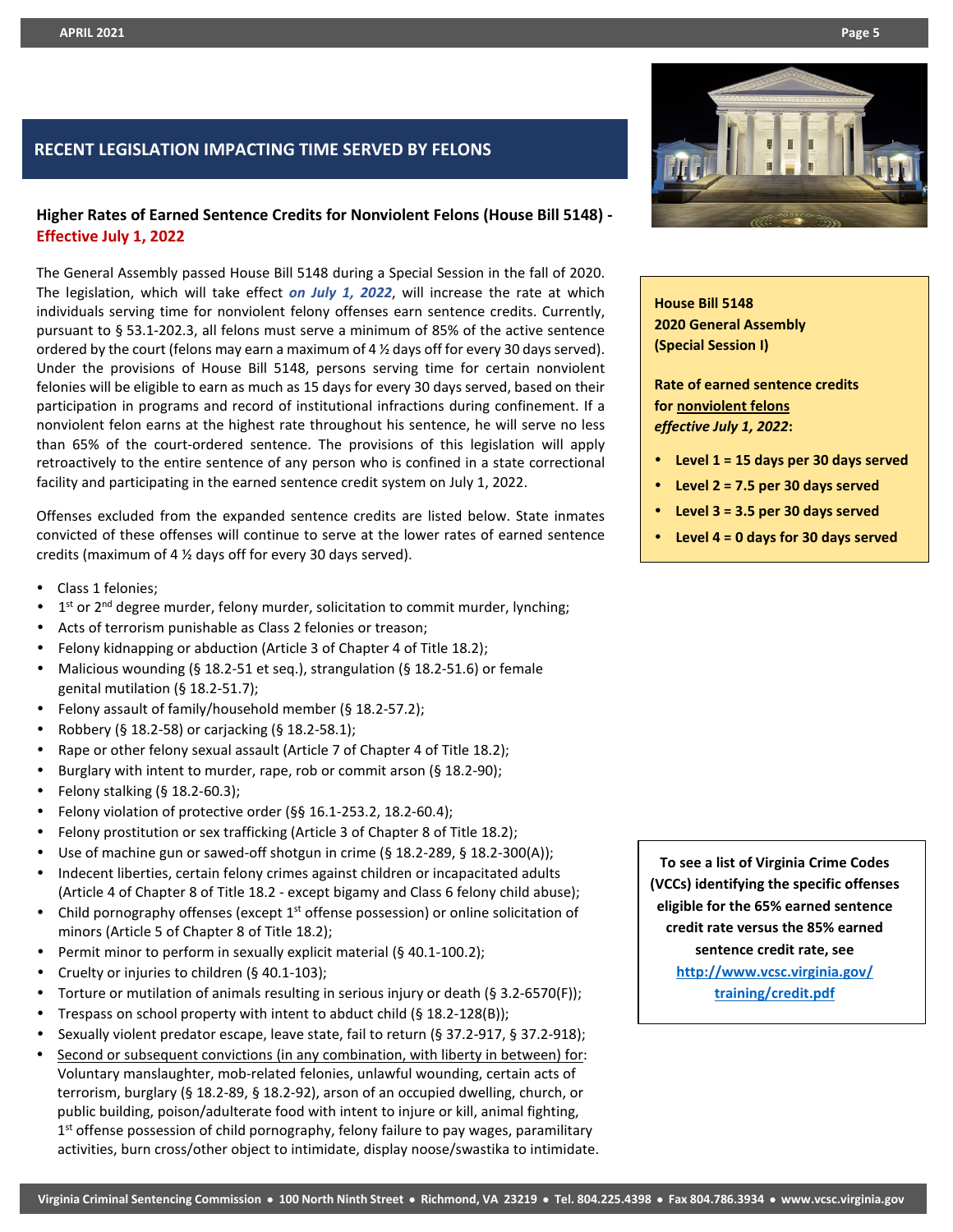# **RECENT LEGISLATION IMPACTING TIME SERVED BY FELONS**

# **Higher Rates of Earned Sentence Credits for Nonviolent Felons (House Bill 5148) - Effective July 1, 2022**

The General Assembly passed House Bill 5148 during a Special Session in the fall of 2020. The legislation, which will take effect *on July 1, 2022*, will increase the rate at which individuals serving time for nonviolent felony offenses earn sentence credits. Currently, pursuant to § 53.1-202.3, all felons must serve a minimum of 85% of the active sentence ordered by the court (felons may earn a maximum of 4 ½ days off for every 30 days served). Under the provisions of House Bill 5148, persons serving time for certain nonviolent felonies will be eligible to earn as much as 15 days for every 30 days served, based on their participation in programs and record of institutional infractions during confinement. If a nonviolent felon earns at the highest rate throughout his sentence, he will serve no less than 65% of the court-ordered sentence. The provisions of this legislation will apply retroactively to the entire sentence of any person who is confined in a state correctional facility and participating in the earned sentence credit system on July 1, 2022.

Offenses excluded from the expanded sentence credits are listed below. State inmates convicted of these offenses will continue to serve at the lower rates of earned sentence credits (maximum of 4 ½ days off for every 30 days served).

- Class 1 felonies;
- 1<sup>st</sup> or 2<sup>nd</sup> degree murder, felony murder, solicitation to commit murder, lynching;
- Acts of terrorism punishable as Class 2 felonies or treason;
- Felony kidnapping or abduction (Article 3 of Chapter 4 of Title 18.2);
- Malicious wounding (§ 18.2-51 et seq.), strangulation (§ 18.2-51.6) or female genital mutilation (§ 18.2-51.7);
- Felony assault of family/household member (§ 18.2-57.2);
- Robbery (§ 18.2-58) or carjacking (§ 18.2-58.1);
- Rape or other felony sexual assault (Article 7 of Chapter 4 of Title 18.2);
- Burglary with intent to murder, rape, rob or commit arson (§ 18.2-90);
- Felony stalking  $(§ 18.2-60.3);$
- Felony violation of protective order (§§ 16.1-253.2, 18.2-60.4);
- Felony prostitution or sex trafficking (Article 3 of Chapter 8 of Title 18.2);
- Use of machine gun or sawed-off shotgun in crime (§ 18.2-289, § 18.2-300(A));
- Indecent liberties, certain felony crimes against children or incapacitated adults (Article 4 of Chapter 8 of Title 18.2 - except bigamy and Class 6 felony child abuse);
- Child pornography offenses (except  $1<sup>st</sup>$  offense possession) or online solicitation of minors (Article 5 of Chapter 8 of Title 18.2);
- Permit minor to perform in sexually explicit material (§ 40.1-100.2);
- Cruelty or injuries to children (§ 40.1-103);
- Torture or mutilation of animals resulting in serious injury or death (§ 3.2-6570(F));
- Trespass on school property with intent to abduct child (§ 18.2-128(B));
- Sexually violent predator escape, leave state, fail to return (§ 37.2-917, § 37.2-918);
- Second or subsequent convictions (in any combination, with liberty in between) for: Voluntary manslaughter, mob-related felonies, unlawful wounding, certain acts of terrorism, burglary (§ 18.2-89, § 18.2-92), arson of an occupied dwelling, church, or public building, poison/adulterate food with intent to injure or kill, animal fighting,  $1<sup>st</sup>$  offense possession of child pornography, felony failure to pay wages, paramilitary activities, burn cross/other object to intimidate, display noose/swastika to intimidate.



**House Bill 5148 2020 General Assembly (Special Session I)**

**Rate of earned sentence credits for nonviolent felons** *effective July 1, 2022***:**

- **Level 1 = 15 days per 30 days served**
- **Level 2 = 7.5 per 30 days served**
- **Level 3 = 3.5 per 30 days served**
- **Level 4 = 0 days for 30 days served**

**To see a list of Virginia Crime Codes (VCCs) identifying the specific offenses eligible for the 65% earned sentence credit rate versus the 85% earned sentence credit rate, see [http://www.vcsc.virginia.gov/](http://www.vcsc.virginia.gov/%20training/credit.pdf)  [training/credit.pdf](http://www.vcsc.virginia.gov/%20training/credit.pdf)**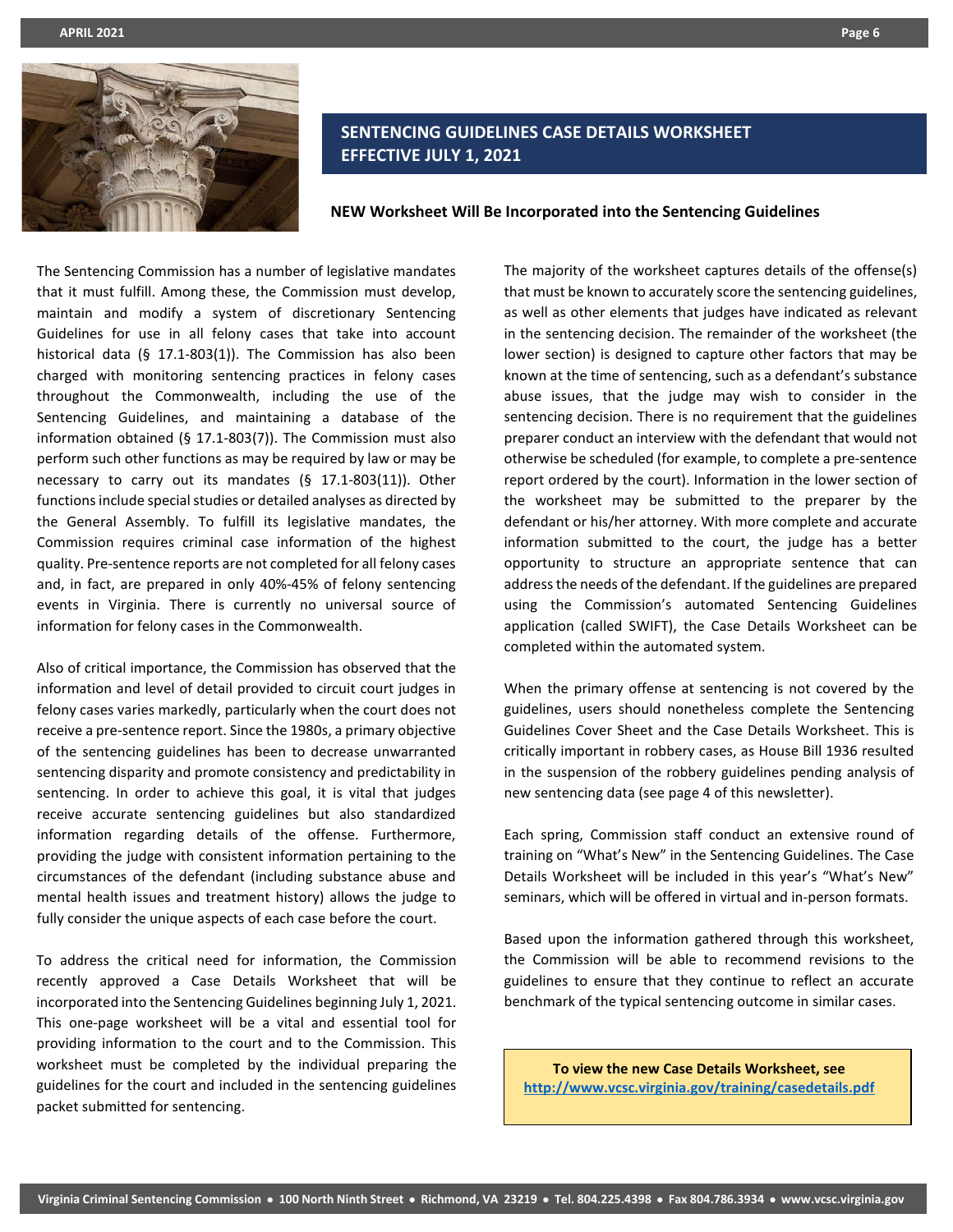

# **SENTENCING GUIDELINES CASE DETAILS WORKSHEET EFFECTIVE JULY 1, 2021**

**NEW Worksheet Will Be Incorporated into the Sentencing Guidelines** 

The Sentencing Commission has a number of legislative mandates that it must fulfill. Among these, the Commission must develop, maintain and modify a system of discretionary Sentencing Guidelines for use in all felony cases that take into account historical data (§ 17.1-803(1)). The Commission has also been charged with monitoring sentencing practices in felony cases throughout the Commonwealth, including the use of the Sentencing Guidelines, and maintaining a database of the information obtained (§ 17.1-803(7)). The Commission must also perform such other functions as may be required by law or may be necessary to carry out its mandates (§ 17.1-803(11)). Other functions include special studies or detailed analyses as directed by the General Assembly. To fulfill its legislative mandates, the Commission requires criminal case information of the highest quality. Pre-sentence reports are not completed for all felony cases and, in fact, are prepared in only 40%-45% of felony sentencing events in Virginia. There is currently no universal source of information for felony cases in the Commonwealth.

Also of critical importance, the Commission has observed that the information and level of detail provided to circuit court judges in felony cases varies markedly, particularly when the court does not receive a pre-sentence report. Since the 1980s, a primary objective of the sentencing guidelines has been to decrease unwarranted sentencing disparity and promote consistency and predictability in sentencing. In order to achieve this goal, it is vital that judges receive accurate sentencing guidelines but also standardized information regarding details of the offense. Furthermore, providing the judge with consistent information pertaining to the circumstances of the defendant (including substance abuse and mental health issues and treatment history) allows the judge to fully consider the unique aspects of each case before the court.

To address the critical need for information, the Commission recently approved a Case Details Worksheet that will be incorporated into the Sentencing Guidelines beginning July 1, 2021. This one-page worksheet will be a vital and essential tool for providing information to the court and to the Commission. This worksheet must be completed by the individual preparing the guidelines for the court and included in the sentencing guidelines packet submitted for sentencing.

The majority of the worksheet captures details of the offense(s) that must be known to accurately score the sentencing guidelines, as well as other elements that judges have indicated as relevant in the sentencing decision. The remainder of the worksheet (the lower section) is designed to capture other factors that may be known at the time of sentencing, such as a defendant's substance abuse issues, that the judge may wish to consider in the sentencing decision. There is no requirement that the guidelines preparer conduct an interview with the defendant that would not otherwise be scheduled (for example, to complete a pre-sentence report ordered by the court). Information in the lower section of the worksheet may be submitted to the preparer by the defendant or his/her attorney. With more complete and accurate information submitted to the court, the judge has a better opportunity to structure an appropriate sentence that can address the needs of the defendant. If the guidelines are prepared using the Commission's automated Sentencing Guidelines application (called SWIFT), the Case Details Worksheet can be completed within the automated system.

When the primary offense at sentencing is not covered by the guidelines, users should nonetheless complete the Sentencing Guidelines Cover Sheet and the Case Details Worksheet. This is critically important in robbery cases, as House Bill 1936 resulted in the suspension of the robbery guidelines pending analysis of new sentencing data (see page 4 of this newsletter).

Each spring, Commission staff conduct an extensive round of training on "What's New" in the Sentencing Guidelines. The Case Details Worksheet will be included in this year's "What's New" seminars, which will be offered in virtual and in-person formats.

Based upon the information gathered through this worksheet, the Commission will be able to recommend revisions to the guidelines to ensure that they continue to reflect an accurate benchmark of the typical sentencing outcome in similar cases.

**To view the new Case Details Worksheet, see <http://www.vcsc.virginia.gov/training/casedetails.pdf>**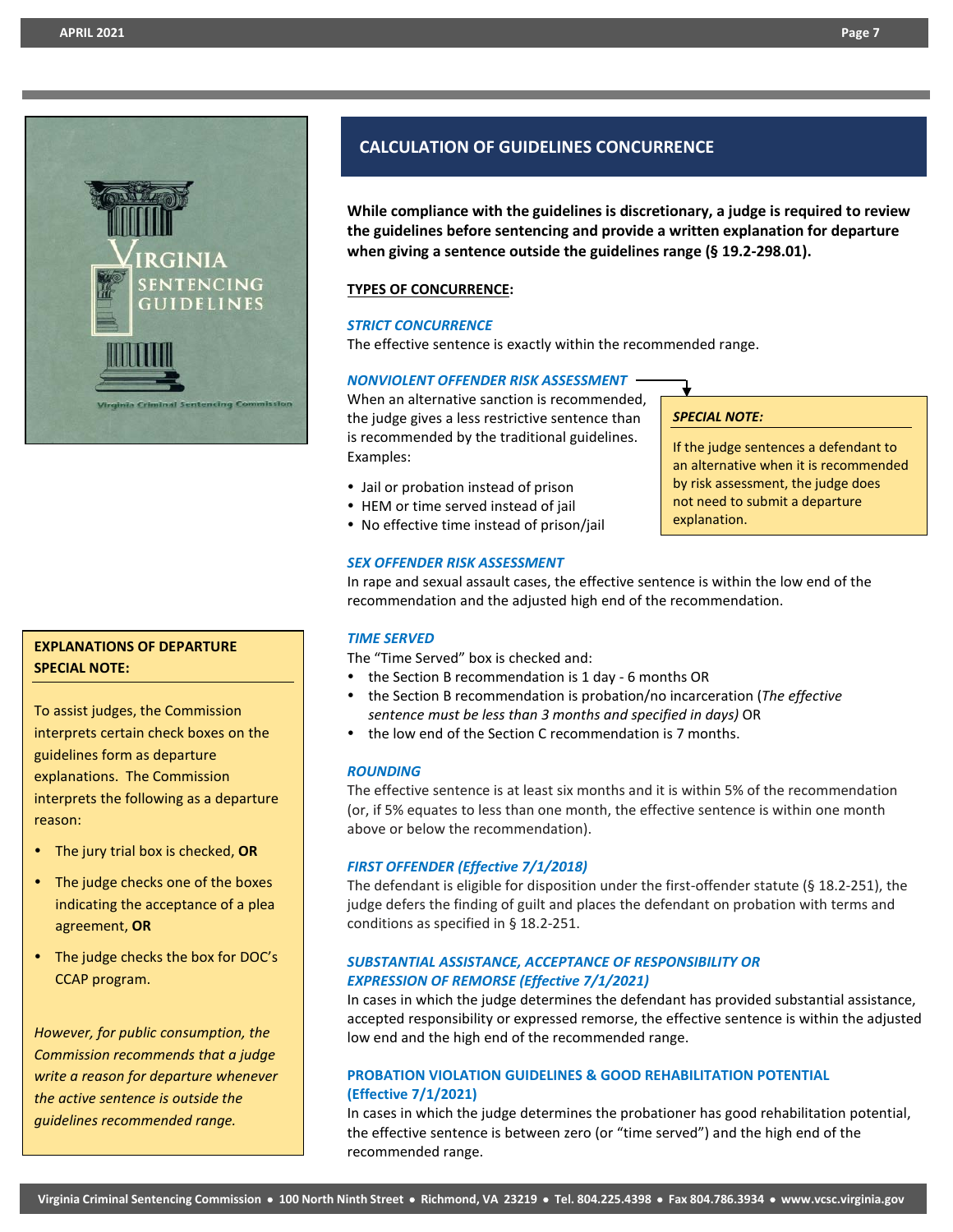

# **EXPLANATIONS OF DEPARTURE SPECIAL NOTE:**

To assist judges, the Commission interprets certain check boxes on the guidelines form as departure explanations. The Commission interprets the following as a departure reason:

- The jury trial box is checked, **OR**
- The judge checks one of the boxes indicating the acceptance of a plea agreement, **OR**
- The judge checks the box for DOC's CCAP program.

*However, for public consumption, the Commission recommends that a judge write a reason for departure whenever the active sentence is outside the guidelines recommended range.*

# **CALCULATION OF GUIDELINES CONCURRENCE**

**While compliance with the guidelines is discretionary, a judge is required to review the guidelines before sentencing and provide a written explanation for departure when giving a sentence outside the guidelines range (§ 19.2-298.01).**

#### **TYPES OF CONCURRENCE:**

#### *STRICT CONCURRENCE*

The effective sentence is exactly within the recommended range.

#### *NONVIOLENT OFFENDER RISK ASSESSMENT*

When an alternative sanction is recommended, the judge gives a less restrictive sentence than is recommended by the traditional guidelines. Examples:

- Jail or probation instead of prison
- HEM or time served instead of jail
- No effective time instead of prison/jail

# *SPECIAL NOTE:*

If the judge sentences a defendant to an alternative when it is recommended by risk assessment, the judge does not need to submit a departure explanation.

#### *SEX OFFENDER RISK ASSESSMENT*

In rape and sexual assault cases, the effective sentence is within the low end of the recommendation and the adjusted high end of the recommendation.

#### *TIME SERVED*

The "Time Served" box is checked and:

- the Section B recommendation is 1 day 6 months OR
- the Section B recommendation is probation/no incarceration (*The effective sentence must be less than 3 months and specified in days)* OR
- the low end of the Section C recommendation is 7 months.

#### *ROUNDING*

The effective sentence is at least six months and it is within 5% of the recommendation (or, if 5% equates to less than one month, the effective sentence is within one month above or below the recommendation).

#### *FIRST OFFENDER (Effective 7/1/2018)*

The defendant is eligible for disposition under the first-offender statute (§ 18.2-251), the judge defers the finding of guilt and places the defendant on probation with terms and conditions as specified in § 18.2-251.

#### *SUBSTANTIAL ASSISTANCE, ACCEPTANCE OF RESPONSIBILITY OR EXPRESSION OF REMORSE (Effective 7/1/2021)*

In cases in which the judge determines the defendant has provided substantial assistance, accepted responsibility or expressed remorse, the effective sentence is within the adjusted low end and the high end of the recommended range.

## **PROBATION VIOLATION GUIDELINES & GOOD REHABILITATION POTENTIAL (Effective 7/1/2021)**

In cases in which the judge determines the probationer has good rehabilitation potential, the effective sentence is between zero (or "time served") and the high end of the recommended range.